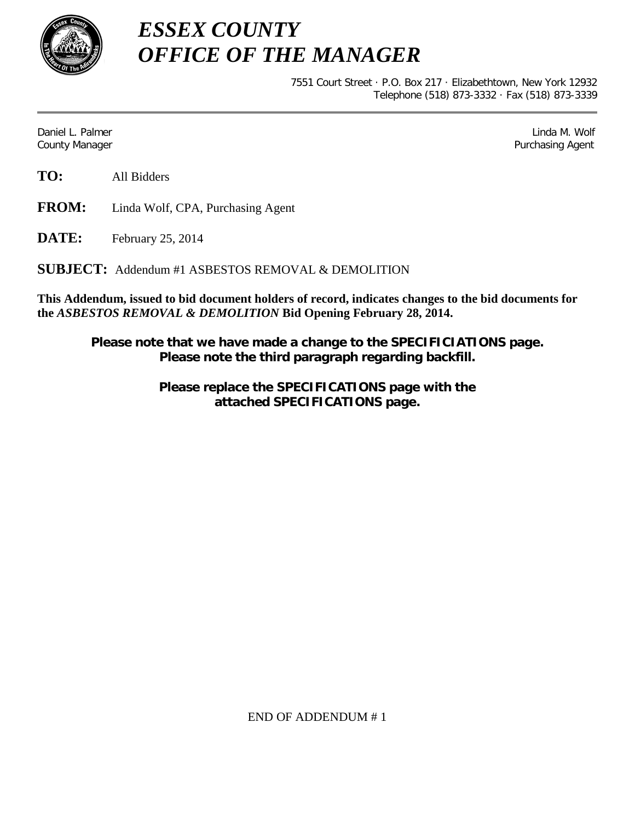

*ESSEX COUNTY OFFICE OF THE MANAGER*

> 7551 Court Street · P.O. Box 217 · Elizabethtown, New York 12932 Telephone (518) 873-3332 · Fax (518) 873-3339

Daniel L. Palmer Later and the control of the control of the control of the control of the control of the control of the control of the control of the control of the control of the control of the control of the control of County Manager Purchasing Agent

**TO:** All Bidders

**FROM:** Linda Wolf, CPA, Purchasing Agent

**DATE:** February 25, 2014

**SUBJECT:** Addendum #1 ASBESTOS REMOVAL & DEMOLITION

**This Addendum, issued to bid document holders of record, indicates changes to the bid documents for the** *ASBESTOS REMOVAL & DEMOLITION* **Bid Opening February 28, 2014.**

**Please note that we have made a change to the SPECIFICIATIONS page. Please note the third paragraph regarding backfill.**

> **Please replace the SPECIFICATIONS page with the attached SPECIFICATIONS page.**

> > END OF ADDENDUM # 1